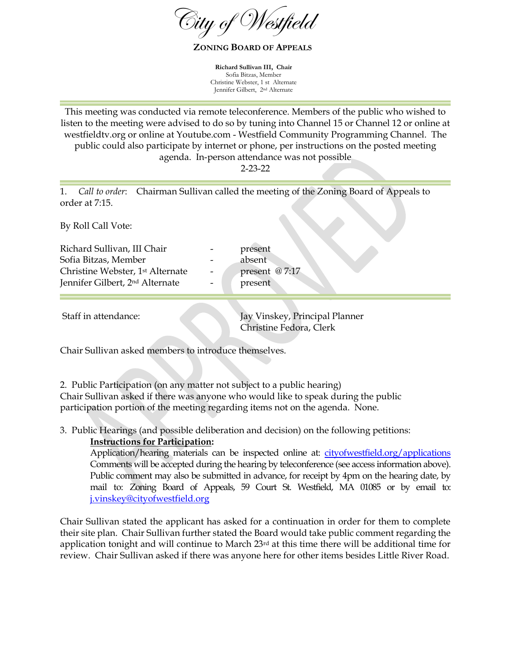Tity of  $\mathcal C$ 

**ZONING BOARD OF APPEALS**

**Richard Sullivan III, Chair**  Sofia Bitzas, Member Christine Webster, 1 st Alternate Jennifer Gilbert, 2 nd Alternate

This meeting was conducted via remote teleconference. Members of the public who wished to listen to the meeting were advised to do so by tuning into Channel 15 or Channel 12 or online at westfieldtv.org or online at Youtube.com - Westfield Community Programming Channel. The public could also participate by internet or phone, per instructions on the posted meeting agenda. In-person attendance was not possible

2-23-22

1. *Call to order*: Chairman Sullivan called the meeting of the Zoning Board of Appeals to order at 7:15.

By Roll Call Vote:

Richard Sullivan, III Chair **-** present Sofia Bitzas, Member - absent Christine Webster, 1<sup>st</sup> Alternate - present @ 7:17 Jennifer Gilbert, 2<sup>nd</sup> Alternate **- Present** 

Staff in attendance: Jay Vinskey, Principal Planner Christine Fedora, Clerk

Chair Sullivan asked members to introduce themselves.

2. Public Participation (on any matter not subject to a public hearing)

Chair Sullivan asked if there was anyone who would like to speak during the public participation portion of the meeting regarding items not on the agenda. None.

3. Public Hearings (and possible deliberation and decision) on the following petitions: **Instructions for Participation:** 

Application/hearing materials can be inspected online at: [cityofwestfield.org/applications](https://www.cityofwestfield.org/applications)  Comments will be accepted during the hearing by teleconference (see access information above). Public comment may also be submitted in advance, for receipt by 4pm on the hearing date, by mail to: Zoning Board of Appeals, 59 Court St. Westfield, MA 01085 or by email to: [j.vinskey@cityofwestfield.org](mailto:j.vinskey@cityofwestfield.org)

Chair Sullivan stated the applicant has asked for a continuation in order for them to complete their site plan. Chair Sullivan further stated the Board would take public comment regarding the application tonight and will continue to March  $23<sup>rd</sup>$  at this time there will be additional time for review. Chair Sullivan asked if there was anyone here for other items besides Little River Road.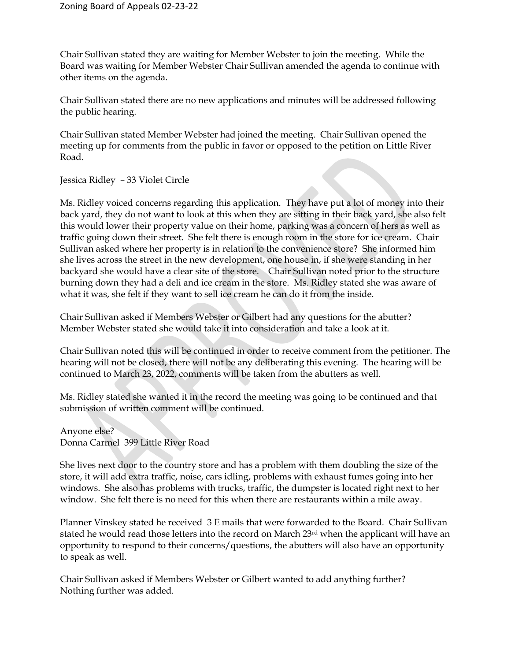Chair Sullivan stated they are waiting for Member Webster to join the meeting. While the Board was waiting for Member Webster Chair Sullivan amended the agenda to continue with other items on the agenda.

Chair Sullivan stated there are no new applications and minutes will be addressed following the public hearing.

Chair Sullivan stated Member Webster had joined the meeting. Chair Sullivan opened the meeting up for comments from the public in favor or opposed to the petition on Little River Road.

Jessica Ridley – 33 Violet Circle

Ms. Ridley voiced concerns regarding this application. They have put a lot of money into their back yard, they do not want to look at this when they are sitting in their back yard, she also felt this would lower their property value on their home, parking was a concern of hers as well as traffic going down their street. She felt there is enough room in the store for ice cream. Chair Sullivan asked where her property is in relation to the convenience store? She informed him she lives across the street in the new development, one house in, if she were standing in her backyard she would have a clear site of the store. Chair Sullivan noted prior to the structure burning down they had a deli and ice cream in the store. Ms. Ridley stated she was aware of what it was, she felt if they want to sell ice cream he can do it from the inside.

Chair Sullivan asked if Members Webster or Gilbert had any questions for the abutter? Member Webster stated she would take it into consideration and take a look at it.

Chair Sullivan noted this will be continued in order to receive comment from the petitioner. The hearing will not be closed, there will not be any deliberating this evening. The hearing will be continued to March 23, 2022, comments will be taken from the abutters as well.

Ms. Ridley stated she wanted it in the record the meeting was going to be continued and that submission of written comment will be continued.

Anyone else? Donna Carmel 399 Little River Road

She lives next door to the country store and has a problem with them doubling the size of the store, it will add extra traffic, noise, cars idling, problems with exhaust fumes going into her windows. She also has problems with trucks, traffic, the dumpster is located right next to her window. She felt there is no need for this when there are restaurants within a mile away.

Planner Vinskey stated he received 3 E mails that were forwarded to the Board. Chair Sullivan stated he would read those letters into the record on March 23rd when the applicant will have an opportunity to respond to their concerns/questions, the abutters will also have an opportunity to speak as well.

Chair Sullivan asked if Members Webster or Gilbert wanted to add anything further? Nothing further was added.